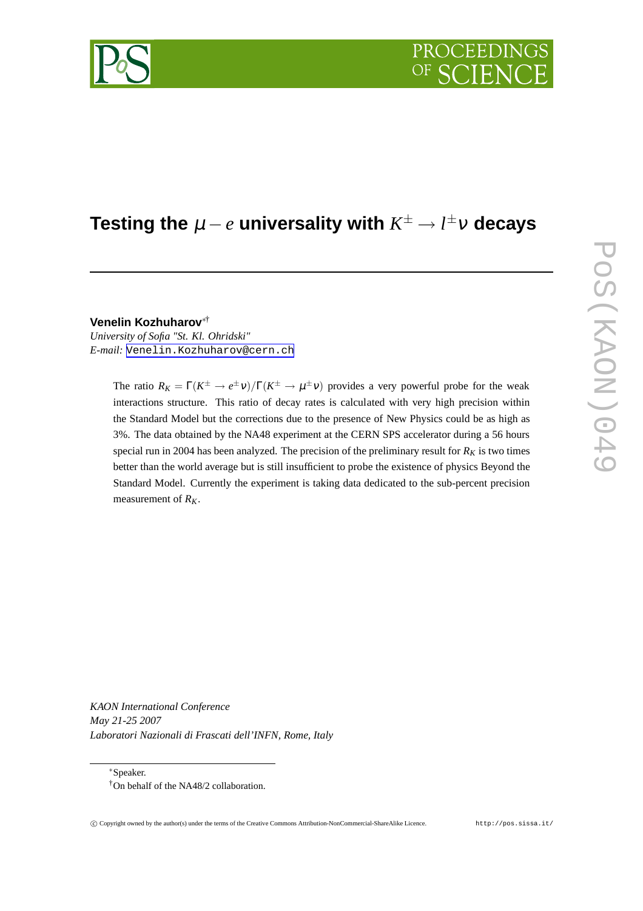

# $\textbf{Testing the }\mu-e\textbf{ universality with }K^{\pm}\rightarrow l^{\pm}\nu\textbf{ decays}$

**Venelin Kozhuharov**∗†

*University of Sofia "St. Kl. Ohridski" E-mail:* [Venelin.Kozhuharov@cern.ch](mailto:Venelin.Kozhuharov@cern.ch)

> The ratio  $R_K = \Gamma(K^{\pm} \to e^{\pm} \nu) / \Gamma(K^{\pm} \to \mu^{\pm} \nu)$  provides a very powerful probe for the weak interactions structure. This ratio of decay rates is calculated with very high precision within the Standard Model but the corrections due to the presence of New Physics could be as high as 3%. The data obtained by the NA48 experiment at the CERN SPS accelerator during a 56 hours special run in 2004 has been analyzed. The precision of the preliminary result for  $R_K$  is two times better than the world average but is still insufficient to probe the existence of physics Beyond the Standard Model. Currently the experiment is taking data dedicated to the sub-percent precision measurement of *RK*.

*KAON International Conference May 21-25 2007 Laboratori Nazionali di Frascati dell'INFN, Rome, Italy*

∗Speaker. †On behalf of the NA48/2 collaboration.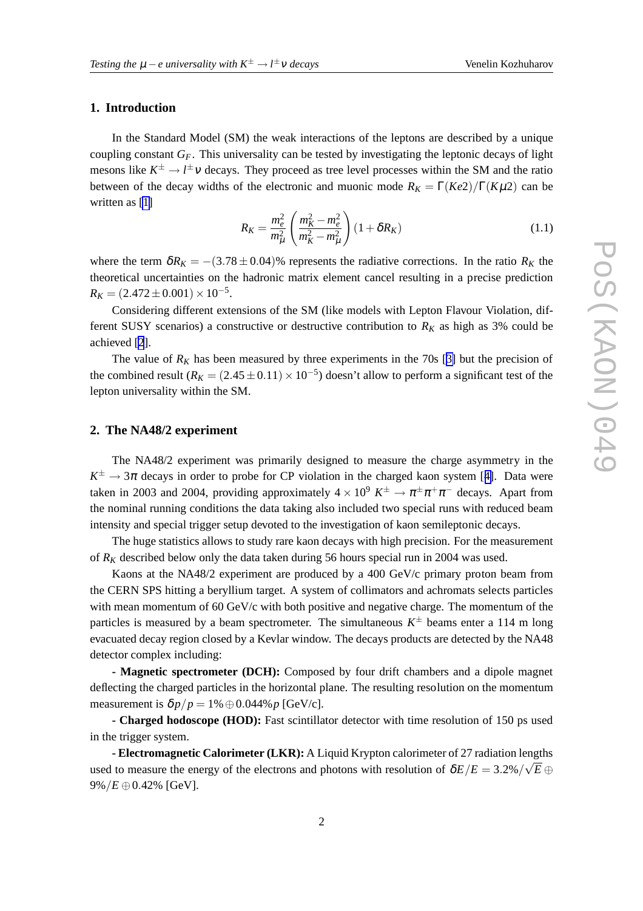#### Venelin Kozhuharov

# **1. Introduction**

In the Standard Model (SM) the weak interactions of the leptons are described by a unique coupling constant *GF*. This universality can be tested by investigating the leptonic decays of light mesons like  $K^{\pm} \rightarrow l^{\pm} \nu$  decays. They proceed as tree level processes within the SM and the ratio between of the decay widths of the electronic and muonic mode  $R_K = \Gamma(Ke2)/\Gamma(K\mu 2)$  can be written as [\[1\]](#page-4-0)

$$
R_K = \frac{m_e^2}{m_\mu^2} \left( \frac{m_K^2 - m_e^2}{m_K^2 - m_\mu^2} \right) (1 + \delta R_K)
$$
 (1.1)

where the term  $\delta R_K = -(3.78 \pm 0.04)\%$  represents the radiative corrections. In the ratio  $R_K$  the theoretical uncertainties on the hadronic matrix element cancel resulting in a precise prediction  $R_K = (2.472 \pm 0.001) \times 10^{-5}$ .

Considering different extensions of the SM (like models with Lepton Flavour Violation, different SUSY scenarios) a constructive or destructive contribution to  $R_K$  as high as 3% could be achieved [\[2](#page-4-0)].

The value of  $R_K$  has been measured by three experiments in the 70s [[3\]](#page-4-0) but the precision of the combined result  $(R_K = (2.45 \pm 0.11) \times 10^{-5})$  doesn't allow to perform a significant test of the lepton universality within the SM.

## **2. The NA48/2 experiment**

The NA48/2 experiment was primarily designed to measure the charge asymmetry in the  $K^{\pm} \rightarrow 3\pi$  decays in order to probe for CP violation in the charged kaon system [[4\]](#page-4-0). Data were taken in 2003 and 2004, providing approximately  $4 \times 10^9$   $K^{\pm} \rightarrow \pi^{\pm} \pi^+ \pi^-$  decays. Apart from the nominal running conditions the data taking also included two special runs with reduced beam intensity and special trigger setup devoted to the investigation of kaon semileptonic decays.

The huge statistics allows to study rare kaon decays with high precision. For the measurement of  $R_K$  described below only the data taken during 56 hours special run in 2004 was used.

Kaons at the NA48/2 experiment are produced by a 400 GeV/c primary proton beam from the CERN SPS hitting a beryllium target. A system of collimators and achromats selects particles with mean momentum of 60 GeV/c with both positive and negative charge. The momentum of the particles is measured by a beam spectrometer. The simultaneous  $K^{\pm}$  beams enter a 114 m long evacuated decay region closed by a Kevlar window. The decays products are detected by the NA48 detector complex including:

**- Magnetic spectrometer (DCH):** Composed by four drift chambers and a dipole magnet deflecting the charged particles in the horizontal plane. The resulting resolution on the momentum measurement is  $\delta p/p = 1\% \oplus 0.044\% p$  [GeV/c].

**- Charged hodoscope (HOD):** Fast scintillator detector with time resolution of 150 ps used in the trigger system.

**- Electromagnetic Calorimeter (LKR):** A Liquid Krypton calorimeter of 27 radiation lengths used to measure the energy of the electrons and photons with resolution of  $\delta E/E = 3.2\% / \sqrt{E} \oplus$ 9%/*E* ⊕0.42% [GeV].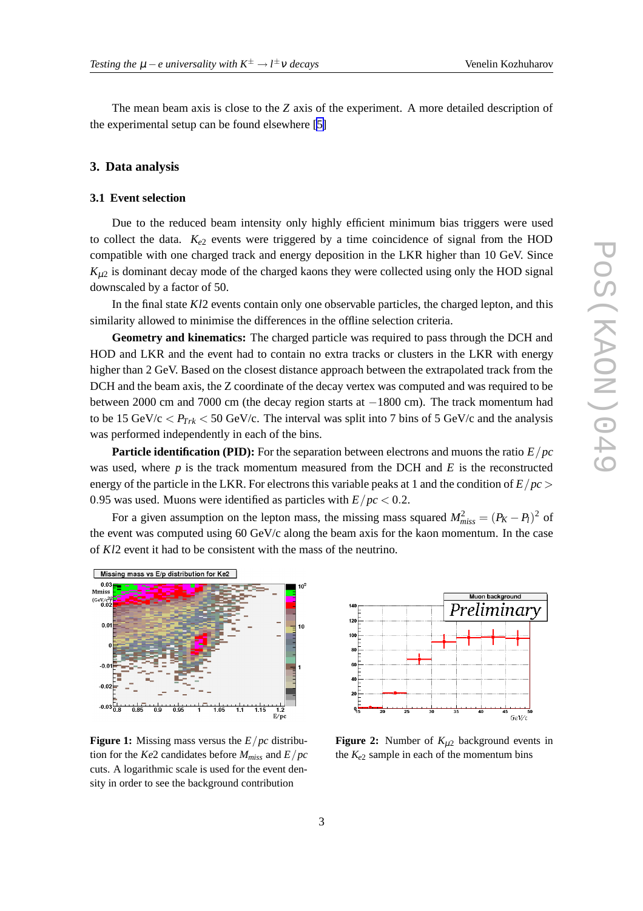Venelin Kozhuharov

<span id="page-2-0"></span>The mean beam axis is close to the *Z* axis of the experiment. A more detailed description of the experimental setup can be found elsewhere [\[5\]](#page-4-0)

## **3. Data analysis**

#### **3.1 Event selection**

Due to the reduced beam intensity only highly efficient minimum bias triggers were used to collect the data.  $K_{e2}$  events were triggered by a time coincidence of signal from the HOD compatible with one charged track and energy deposition in the LKR higher than 10 GeV. Since  $K_{\mu2}$  is dominant decay mode of the charged kaons they were collected using only the HOD signal downscaled by a factor of 50.

In the final state *Kl*2 events contain only one observable particles, the charged lepton, and this similarity allowed to minimise the differences in the offline selection criteria.

**Geometry and kinematics:** The charged particle was required to pass through the DCH and HOD and LKR and the event had to contain no extra tracks or clusters in the LKR with energy higher than 2 GeV. Based on the closest distance approach between the extrapolated track from the DCH and the beam axis, the Z coordinate of the decay vertex was computed and was required to be between 2000 cm and 7000 cm (the decay region starts at −1800 cm). The track momentum had to be 15 GeV/c  $\langle P_{Trk} \rangle \langle 50 \text{ GeV/c} \rangle$ . The interval was split into 7 bins of 5 GeV/c and the analysis was performed independently in each of the bins.

**Particle identification (PID):** For the separation between electrons and muons the ratio *E*/*pc* was used, where *p* is the track momentum measured from the DCH and *E* is the reconstructed energy of the particle in the LKR. For electrons this variable peaks at 1 and the condition of  $E/pc$ 0.95 was used. Muons were identified as particles with  $E/pc < 0.2$ .

For a given assumption on the lepton mass, the missing mass squared  $M_{miss}^2 = (P_K - P_l)^2$  of the event was computed using 60 GeV/c along the beam axis for the kaon momentum. In the case of *Kl*2 event it had to be consistent with the mass of the neutrino.



**Figure 1:** Missing mass versus the *E*/*pc* distribution for the *Ke*2 candidates before  $M_{miss}$  and  $E/pc$ cuts. A logarithmic scale is used for the event density in order to see the background contribution



**Figure 2:** Number of  $K_{\mu 2}$  background events in the  $K_{e2}$  sample in each of the momentum bins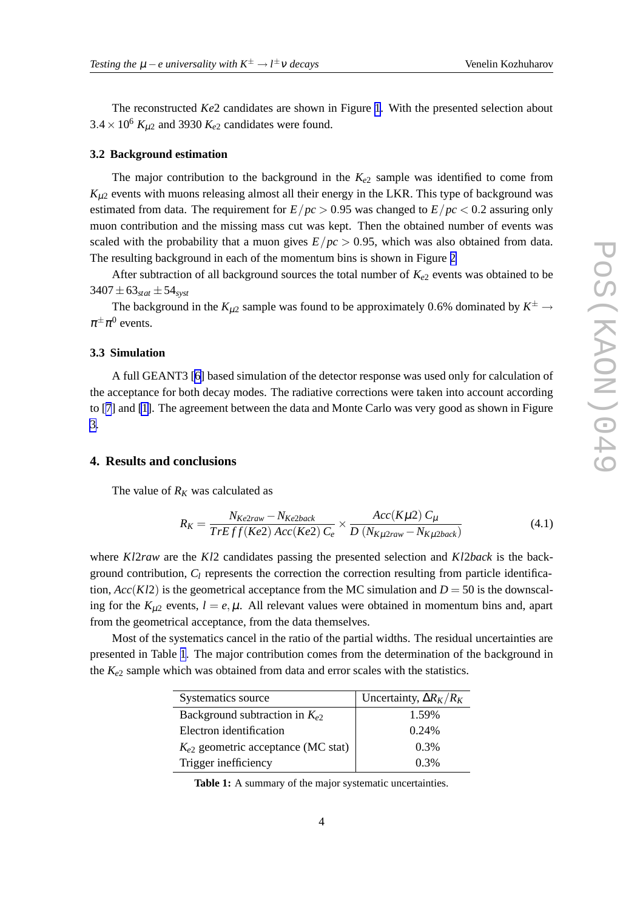The reconstructed *Ke*2 candidates are shown in Figure [1](#page-2-0). With the presented selection about  $3.4 \times 10^6$   $K_{\mu 2}$  and 3930  $K_{e2}$  candidates were found.

#### **3.2 Background estimation**

The major contribution to the background in the  $K_{e2}$  sample was identified to come from  $K_{\mu2}$  events with muons releasing almost all their energy in the LKR. This type of background was estimated from data. The requirement for  $E/pc > 0.95$  was changed to  $E/pc < 0.2$  assuring only muon contribution and the missing mass cut was kept. Then the obtained number of events was scaled with the probability that a muon gives  $E/pc > 0.95$ , which was also obtained from data. The resulting background in each of the momentum bins is shown in Figure [2](#page-2-0)

After subtraction of all background sources the total number of *Ke*<sup>2</sup> events was obtained to be  $3407 \pm 63_{stat} \pm 54_{syst}$ 

The background in the  $K_{\mu 2}$  sample was found to be approximately 0.6% dominated by  $K^{\pm} \rightarrow$  $\pi^{\pm}\pi^{0}$  events.

## **3.3 Simulation**

A full GEANT3 [\[6\]](#page-4-0) based simulation of the detector response was used only for calculation of the acceptance for both decay modes. The radiative corrections were taken into account according to [[7](#page-4-0)] and [\[1\]](#page-4-0). The agreement between the data and Monte Carlo was very good as shown in Figure [3.](#page-4-0)

## **4. Results and conclusions**

The value of  $R_K$  was calculated as

$$
R_K = \frac{N_{Ke2raw} - N_{Ke2back}}{TrEff(Ke2) \, Acc(Ke2) \, C_e} \times \frac{Acc(K\mu2) \, C_\mu}{D \, (N_{K\mu2raw} - N_{K\mu2back})}
$$
(4.1)

where *Kl*2*raw* are the *Kl*2 candidates passing the presented selection and *Kl*2*back* is the background contribution,  $C_l$  represents the correction the correction resulting from particle identification,  $Acc(Kl2)$  is the geometrical acceptance from the MC simulation and  $D = 50$  is the downscaling for the  $K_{\mu 2}$  events,  $l = e, \mu$ . All relevant values were obtained in momentum bins and, apart from the geometrical acceptance, from the data themselves.

Most of the systematics cancel in the ratio of the partial widths. The residual uncertainties are presented in Table 1. The major contribution comes from the determination of the background in the  $K_{e2}$  sample which was obtained from data and error scales with the statistics.

| Systematics source                      | Uncertainty, $\Delta R_K/R_K$ |
|-----------------------------------------|-------------------------------|
| Background subtraction in $K_{e2}$      | 1.59%                         |
| Electron identification                 | 0.24%                         |
| $K_{e2}$ geometric acceptance (MC stat) | 0.3%                          |
| Trigger inefficiency                    | 0.3%                          |

Table 1: A summary of the major systematic uncertainties.